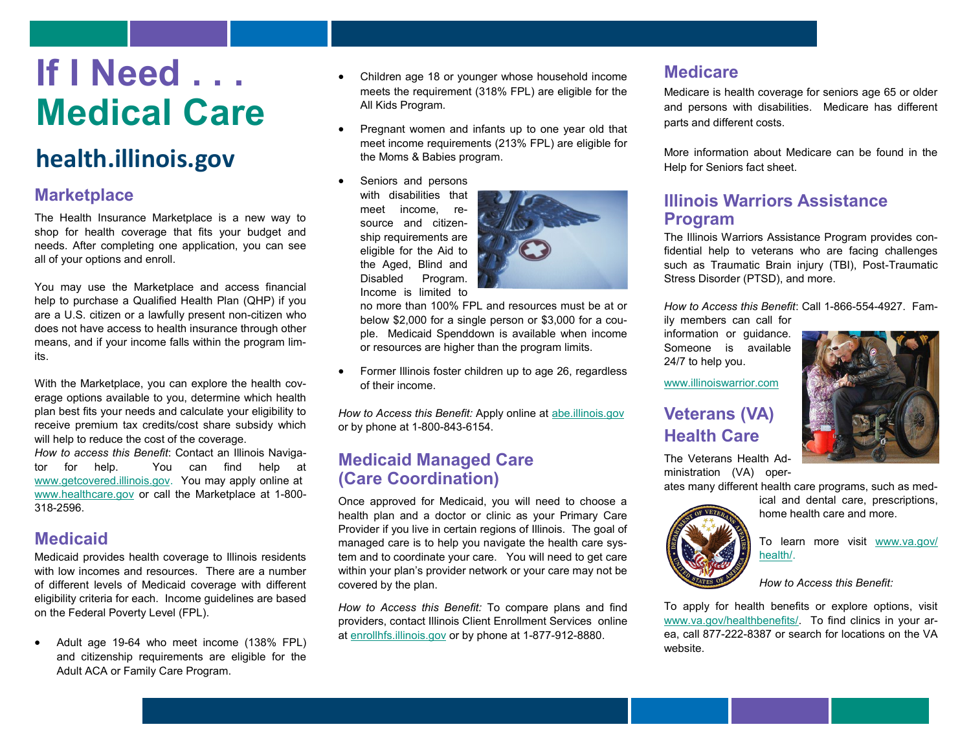# **If I Need . . . Medical Care**

# **health.illinois.gov**

# **Marketplace**

The Health Insurance Marketplace is a new way to shop for health coverage that fits your budget and needs. After completing one application, you can see all of your options and enroll.

You may use the Marketplace and access financial help to purchase a Qualified Health Plan (QHP) if you are a U.S. citizen or a lawfully present non-citizen who does not have access to health insurance through other means, and if your income falls within the program limits.

With the Marketplace, you can explore the health coverage options available to you, determine which health plan best fits your needs and calculate your eligibility to receive premium tax credits/cost share subsidy which will help to reduce the cost of the coverage.

*How to access this Benefit*: Contact an Illinois Navigator for help. You can find help at [www.getcovered.illinois.gov.](http://www.getcovered.illinois.gov/) You may apply online at [www.healthcare.gov](http://www.healthcare.gov) or call the Marketplace at 1-800- 318-2596.

# **Medicaid**

Medicaid provides health coverage to Illinois residents with low incomes and resources. There are a number of different levels of Medicaid coverage with different eligibility criteria for each. Income guidelines are based on the Federal Poverty Level (FPL).

 Adult age 19-64 who meet income (138% FPL) and citizenship requirements are eligible for the Adult ACA or Family Care Program.

- Children age 18 or younger whose household income meets the requirement (318% FPL) are eligible for the All Kids Program.
- Pregnant women and infants up to one year old that meet income requirements (213% FPL) are eligible for the Moms & Babies program.
	- Seniors and persons with disabilities that meet income, resource and citizenship requirements are eligible for the Aid to the Aged, Blind and Disabled Program. Income is limited to



no more than 100% FPL and resources must be at or below \$2,000 for a single person or \$3,000 for a couple. Medicaid Spenddown is available when income or resources are higher than the program limits.

 Former Illinois foster children up to age 26, regardless of their income.

*How to Access this Benefit:* Apply online at [abe.illinois.gov](http://www.abe.illinois.gov) or by phone at 1-800-843-6154.

# **Medicaid Managed Care (Care Coordination)**

Once approved for Medicaid, you will need to choose a health plan and a doctor or clinic as your Primary Care Provider if you live in certain regions of Illinois. The goal of managed care is to help you navigate the health care system and to coordinate your care. You will need to get care within your plan's provider network or your care may not be covered by the plan.

*How to Access this Benefit:* To compare plans and find providers, contact Illinois Client Enrollment Services online at enr[ollhfs.illinois.gov or by](http://enrollhfs.illinois.gov/) phone at 1-877-912-8880.

# **Medicare**

Medicare is health coverage for seniors age 65 or older and persons with disabilities. Medicare has different parts and different costs.

More information about Medicare can be found in the Help for Seniors fact sheet.

# **Illinois Warriors Assistance Program**

The Illinois Warriors Assistance Program provides confidential help to veterans who are facing challenges such as Traumatic Brain injury (TBI), Post-Traumatic Stress Disorder (PTSD), and more.

*How to Access this Benefit*: Call 1-866-554-4927. Family members can call for

information or guidance. Someone is available 24/7 to help you.



[www.illinoiswarrior.com](http://www.illinoiswarrior.com)

# **Veterans (VA) Health Care**

The Veterans Health Administration (VA) oper-

ates many different health care programs, such as med-

ical and dental care, prescriptions, home health care and more.



To learn more visit [www.va.gov/](http://www.va.gov/health/) [health/.](http://www.va.gov/health/) 

*How to Access this Benefit:* 

To apply for health benefits or explore options, visit [www.va.gov/healthbenefits/.](http://www.va.gov/healthbenefits/) To find clinics in your area, call 877-222-8387 or search for locations on the VA website.